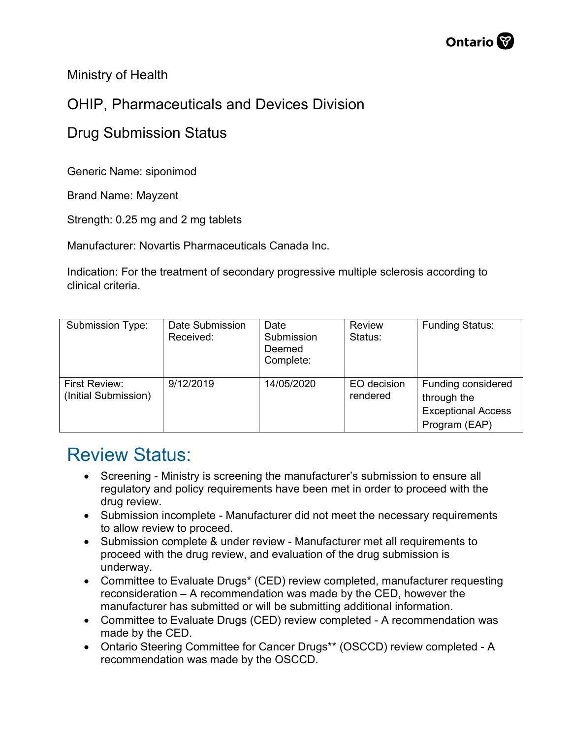Ministry of Health

## OHIP, Pharmaceuticals and Devices Division

## Drug Submission Status

Generic Name: siponimod

Brand Name: Mayzent

Strength: 0.25 mg and 2 mg tablets

Manufacturer: Novartis Pharmaceuticals Canada Inc.

Indication: For the treatment of secondary progressive multiple sclerosis according to clinical criteria.

| Submission Type:                      | Date Submission<br>Received: | Date<br>Submission<br>Deemed<br>Complete: | <b>Review</b><br>Status: | <b>Funding Status:</b>                                                          |
|---------------------------------------|------------------------------|-------------------------------------------|--------------------------|---------------------------------------------------------------------------------|
| First Review:<br>(Initial Submission) | 9/12/2019                    | 14/05/2020                                | EO decision<br>rendered  | Funding considered<br>through the<br><b>Exceptional Access</b><br>Program (EAP) |

## Review Status:

- Screening Ministry is screening the manufacturer's submission to ensure all regulatory and policy requirements have been met in order to proceed with the drug review.
- Submission incomplete Manufacturer did not meet the necessary requirements to allow review to proceed.
- Submission complete & under review Manufacturer met all requirements to proceed with the drug review, and evaluation of the drug submission is underway.
- Committee to Evaluate Drugs\* (CED) review completed, manufacturer requesting reconsideration – A recommendation was made by the CED, however the manufacturer has submitted or will be submitting additional information.
- Committee to Evaluate Drugs (CED) review completed A recommendation was made by the CED.
- Ontario Steering Committee for Cancer Drugs\*\* (OSCCD) review completed A recommendation was made by the OSCCD.